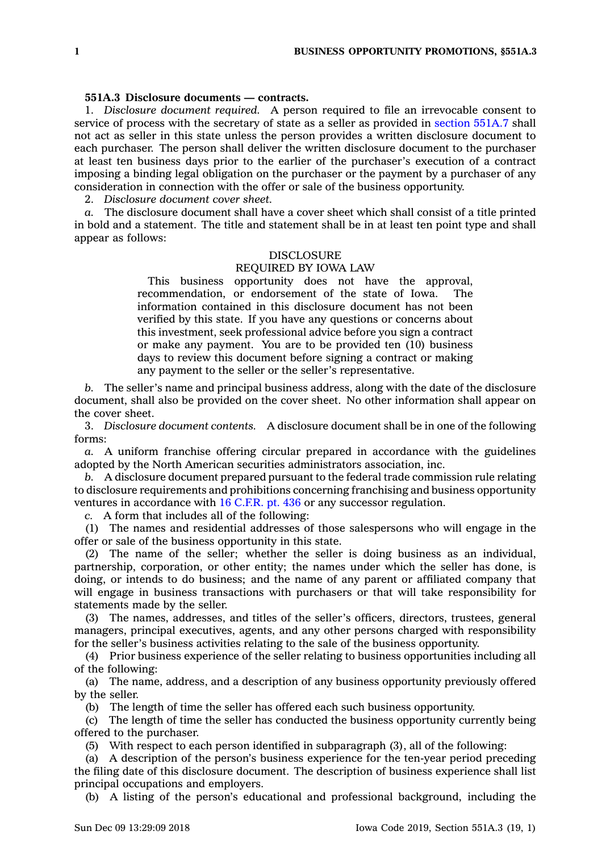## **551A.3 Disclosure documents — contracts.**

1. *Disclosure document required.* A person required to file an irrevocable consent to service of process with the secretary of state as <sup>a</sup> seller as provided in [section](https://www.legis.iowa.gov/docs/code/551A.7.pdf) 551A.7 shall not act as seller in this state unless the person provides <sup>a</sup> written disclosure document to each purchaser. The person shall deliver the written disclosure document to the purchaser at least ten business days prior to the earlier of the purchaser's execution of <sup>a</sup> contract imposing <sup>a</sup> binding legal obligation on the purchaser or the payment by <sup>a</sup> purchaser of any consideration in connection with the offer or sale of the business opportunity.

2. *Disclosure document cover sheet.*

*a.* The disclosure document shall have <sup>a</sup> cover sheet which shall consist of <sup>a</sup> title printed in bold and <sup>a</sup> statement. The title and statement shall be in at least ten point type and shall appear as follows:

## DISCLOSURE

## REQUIRED BY IOWA LAW

This business opportunity does not have the approval, recommendation, or endorsement of the state of Iowa. The information contained in this disclosure document has not been verified by this state. If you have any questions or concerns about this investment, seek professional advice before you sign <sup>a</sup> contract or make any payment. You are to be provided ten (10) business days to review this document before signing <sup>a</sup> contract or making any payment to the seller or the seller's representative.

*b.* The seller's name and principal business address, along with the date of the disclosure document, shall also be provided on the cover sheet. No other information shall appear on the cover sheet.

3. *Disclosure document contents.* A disclosure document shall be in one of the following forms:

*a.* A uniform franchise offering circular prepared in accordance with the guidelines adopted by the North American securities administrators association, inc.

*b.* A disclosure document prepared pursuant to the federal trade commission rule relating to disclosure requirements and prohibitions concerning franchising and business opportunity ventures in accordance with 16 [C.F.R.](https://www.law.cornell.edu/cfr/text/16/part-436) pt. 436 or any successor regulation.

*c.* A form that includes all of the following:

(1) The names and residential addresses of those salespersons who will engage in the offer or sale of the business opportunity in this state.

(2) The name of the seller; whether the seller is doing business as an individual, partnership, corporation, or other entity; the names under which the seller has done, is doing, or intends to do business; and the name of any parent or affiliated company that will engage in business transactions with purchasers or that will take responsibility for statements made by the seller.

(3) The names, addresses, and titles of the seller's officers, directors, trustees, general managers, principal executives, agents, and any other persons charged with responsibility for the seller's business activities relating to the sale of the business opportunity.

(4) Prior business experience of the seller relating to business opportunities including all of the following:

(a) The name, address, and <sup>a</sup> description of any business opportunity previously offered by the seller.

(b) The length of time the seller has offered each such business opportunity.

(c) The length of time the seller has conducted the business opportunity currently being offered to the purchaser.

(5) With respect to each person identified in subparagraph (3), all of the following:

(a) A description of the person's business experience for the ten-year period preceding the filing date of this disclosure document. The description of business experience shall list principal occupations and employers.

(b) A listing of the person's educational and professional background, including the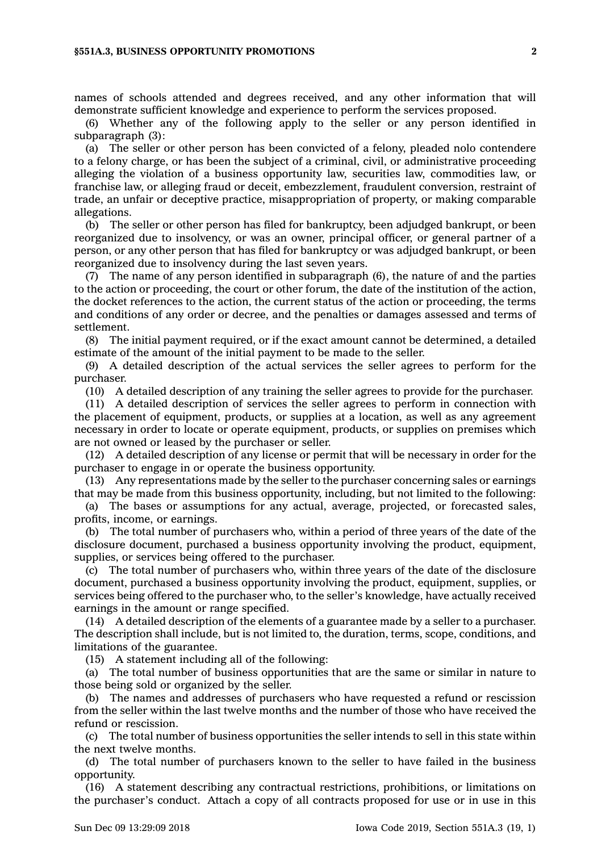## **§551A.3, BUSINESS OPPORTUNITY PROMOTIONS 2**

names of schools attended and degrees received, and any other information that will demonstrate sufficient knowledge and experience to perform the services proposed.

(6) Whether any of the following apply to the seller or any person identified in subparagraph (3):

(a) The seller or other person has been convicted of <sup>a</sup> felony, pleaded nolo contendere to <sup>a</sup> felony charge, or has been the subject of <sup>a</sup> criminal, civil, or administrative proceeding alleging the violation of <sup>a</sup> business opportunity law, securities law, commodities law, or franchise law, or alleging fraud or deceit, embezzlement, fraudulent conversion, restraint of trade, an unfair or deceptive practice, misappropriation of property, or making comparable allegations.

(b) The seller or other person has filed for bankruptcy, been adjudged bankrupt, or been reorganized due to insolvency, or was an owner, principal officer, or general partner of <sup>a</sup> person, or any other person that has filed for bankruptcy or was adjudged bankrupt, or been reorganized due to insolvency during the last seven years.

(7) The name of any person identified in subparagraph (6), the nature of and the parties to the action or proceeding, the court or other forum, the date of the institution of the action, the docket references to the action, the current status of the action or proceeding, the terms and conditions of any order or decree, and the penalties or damages assessed and terms of settlement.

(8) The initial payment required, or if the exact amount cannot be determined, <sup>a</sup> detailed estimate of the amount of the initial payment to be made to the seller.

(9) A detailed description of the actual services the seller agrees to perform for the purchaser.

(10) A detailed description of any training the seller agrees to provide for the purchaser.

(11) A detailed description of services the seller agrees to perform in connection with the placement of equipment, products, or supplies at <sup>a</sup> location, as well as any agreement necessary in order to locate or operate equipment, products, or supplies on premises which are not owned or leased by the purchaser or seller.

(12) A detailed description of any license or permit that will be necessary in order for the purchaser to engage in or operate the business opportunity.

(13) Any representations made by the seller to the purchaser concerning sales or earnings that may be made from this business opportunity, including, but not limited to the following:

(a) The bases or assumptions for any actual, average, projected, or forecasted sales, profits, income, or earnings.

(b) The total number of purchasers who, within <sup>a</sup> period of three years of the date of the disclosure document, purchased <sup>a</sup> business opportunity involving the product, equipment, supplies, or services being offered to the purchaser.

(c) The total number of purchasers who, within three years of the date of the disclosure document, purchased <sup>a</sup> business opportunity involving the product, equipment, supplies, or services being offered to the purchaser who, to the seller's knowledge, have actually received earnings in the amount or range specified.

(14) A detailed description of the elements of <sup>a</sup> guarantee made by <sup>a</sup> seller to <sup>a</sup> purchaser. The description shall include, but is not limited to, the duration, terms, scope, conditions, and limitations of the guarantee.

(15) A statement including all of the following:

(a) The total number of business opportunities that are the same or similar in nature to those being sold or organized by the seller.

(b) The names and addresses of purchasers who have requested <sup>a</sup> refund or rescission from the seller within the last twelve months and the number of those who have received the refund or rescission.

(c) The total number of business opportunities the seller intends to sell in this state within the next twelve months.

(d) The total number of purchasers known to the seller to have failed in the business opportunity.

(16) A statement describing any contractual restrictions, prohibitions, or limitations on the purchaser's conduct. Attach <sup>a</sup> copy of all contracts proposed for use or in use in this